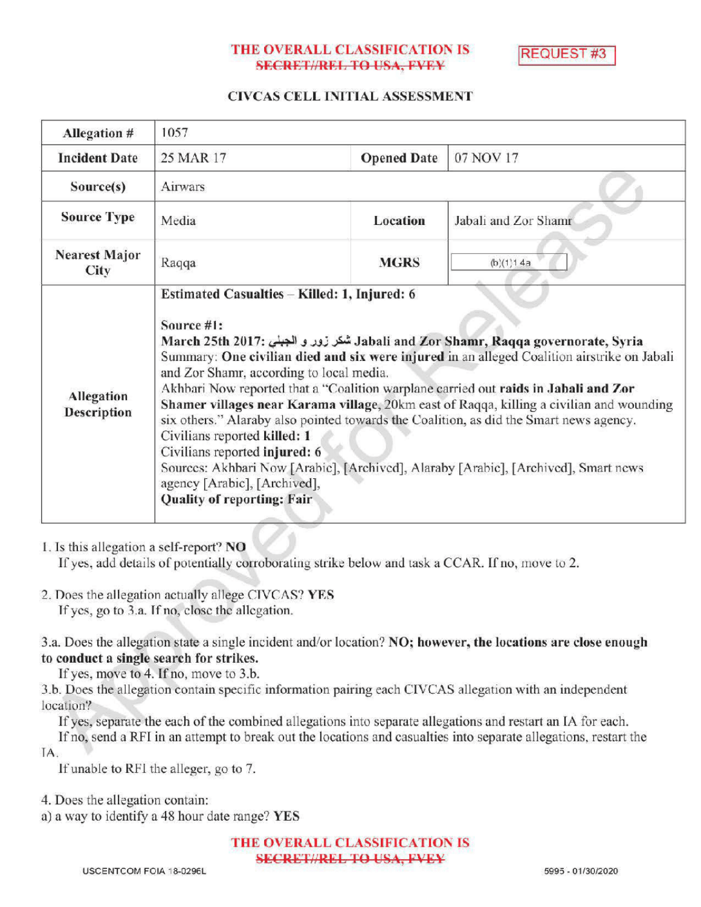### THE OVERALL CLASSIFICATION IS **SECRET//REL TO USA, FVEY**

REQUEST#3

### CIVCAS CELL INITIAL ASSESSMENT

| Allegation #                     | 1057                                                                                                                                                                                                                                                                                                                                                                                                                                                                                                                                                                                                                                                                                                                                                                                                |                    |                      |
|----------------------------------|-----------------------------------------------------------------------------------------------------------------------------------------------------------------------------------------------------------------------------------------------------------------------------------------------------------------------------------------------------------------------------------------------------------------------------------------------------------------------------------------------------------------------------------------------------------------------------------------------------------------------------------------------------------------------------------------------------------------------------------------------------------------------------------------------------|--------------------|----------------------|
| <b>Incident Date</b>             | 25 MAR 17                                                                                                                                                                                                                                                                                                                                                                                                                                                                                                                                                                                                                                                                                                                                                                                           | <b>Opened Date</b> | 07 NOV 17            |
| Source(s)                        | Airwars                                                                                                                                                                                                                                                                                                                                                                                                                                                                                                                                                                                                                                                                                                                                                                                             |                    |                      |
| <b>Source Type</b>               | Media                                                                                                                                                                                                                                                                                                                                                                                                                                                                                                                                                                                                                                                                                                                                                                                               | Location           | Jabali and Zor Shamr |
| <b>Nearest Major</b><br>City     | Raqqa                                                                                                                                                                                                                                                                                                                                                                                                                                                                                                                                                                                                                                                                                                                                                                                               | <b>MGRS</b>        | (b)(1)1.4a           |
| Allegation<br><b>Description</b> | Estimated Casualties - Killed: 1, Injured: 6<br>Source #1:<br>March 25th 2017: شكر زور و الجبنى Jabali and Zor Shamr, Raqqa governorate, Syria<br>Summary: One civilian died and six were injured in an alleged Coalition airstrike on Jabali<br>and Zor Shamr, according to local media.<br>Akhbari Now reported that a "Coalition warplane carried out raids in Jabali and Zor<br>Shamer villages near Karama village, 20km east of Raqqa, killing a civilian and wounding<br>six others." Alaraby also pointed towards the Coalition, as did the Smart news agency.<br>Civilians reported killed: 1<br>Civilians reported injured: 6<br>Sources: Akhbari Now [Arabic], [Archived], Alaraby [Arabic], [Archived], Smart news<br>agency [Arabic], [Archived],<br><b>Quality of reporting: Fair</b> |                    |                      |

### 1. Is this allegation a self-report? NO

If yes, add details of potentially corroborating strike below and task a CCAR. If no, move to 2.

2. Does the allegation actually allege CIVCAS? YES Ifyes, go to 3.a. Ifno, close the allegation.

3.a. Does the allegation state a single incident and/or location? NO; however, the locations are close enough to conduct a single search for strikes.

If yes, move to 4. If no, move to 3.b.

3.b. Does the allegation contain specific information pairing each CIVCAS allegation with an independent location?

If yes, separate the each of the combined allegations into separate allegations and restart an IA for each.

If no, send a RFI in an attempt to break out the locations and casualties into separate allegations, restart the IA

If unable to RF1 the alleger, go to 7.

4. Does the allegation contain:

a) a way to identify a 48 hour date range? YES

THE OVERALL CLASSIFICATION IS SECRETI/REL TO USA, FVEY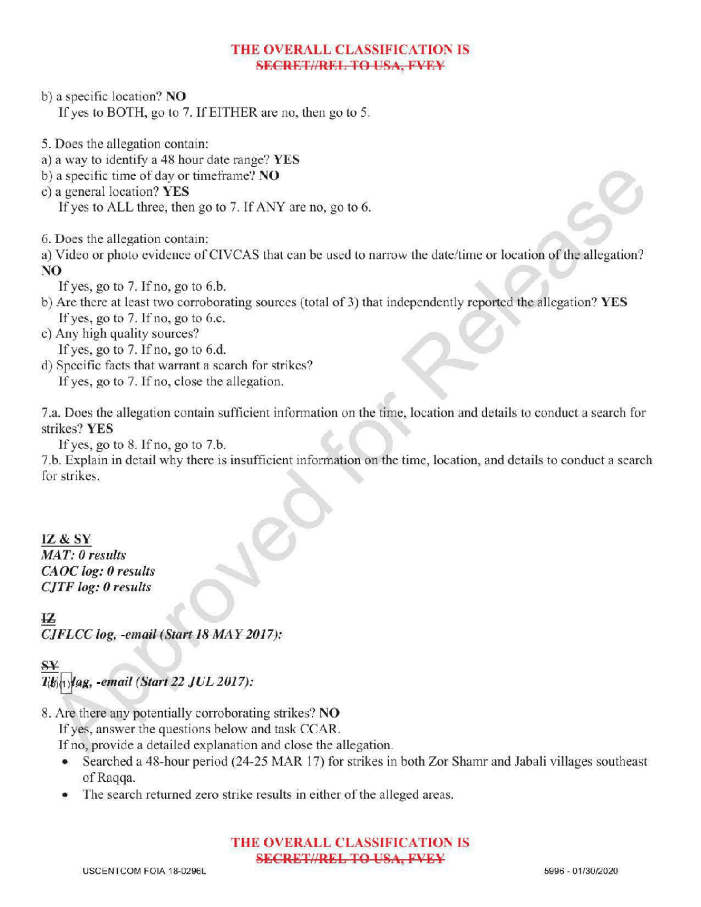### THE OVERALL CLASSIFICATION IS **SECRET//REL TO USA, FVEY**

- b) a specific location? NO If yes to BOTH, go to 7. If EITHER are no, then go to 5.
- 5. Does the allegation contain:
- a) <sup>a</sup> way to identify <sup>a</sup> 48 hour date range? YES
- b) a specific time of day or timeframe? NO
- c) a general location?  $YES$ If yes to ALL three, then go to 7. If ANY are no, go to 6.
- 6. Does the allegation contain:

a) Video or photo evidence of CIVCAS that can be used to narrow the date/ time or location of the allegation? NO

- If yes, go to  $7.$  If no, go to  $6.b$ .
- b) Are there at least two corroborating sources (total of 3) that independently reported the allegation? YES If yes, go to  $7.$  If no, go to 6.c.
- c) Any high quality sources?
	- If yes, go to  $7.$  If no, go to  $6.d.$
- d) Specific facts that warrant a search for strikes? If yes, go to 7. If no, close the allegation.

7.a. Does the allegation contain sufficient information on the time, locationand details to conduct a search for strikes? YES

If yes, go to  $8$ . If no, go to  $7.b$ .

7.b. Explain in detail why there is insufficient information on the time, location, and details to conduct <sup>a</sup> search a for strikes.

## IZ & SY

MAT: 0 results CAOC log: 0 results  $CJTF$  log:  $0$  results

# 12

 $CIFLCC$  log, -email (Start 18 MAY 2017):

## SY

lag, -email (Start 22 JUL 2017):

8. Are there any potentially corroborating strikes? NO

Ifyes, answer the questions below and task CCAR.

If no, provide a detailed explanation and close the allegation.

- Searched <sup>a</sup> 48-hour period (24-25 MAR 17) for strikes in both Zor Shamr and Jabali villages southeast of Raqqa.
- The search returned zero strike results in either of the alleged areas.

### THE OVERALL CLASSIFICATION IS **SECRET//REL TO USA, FVEY**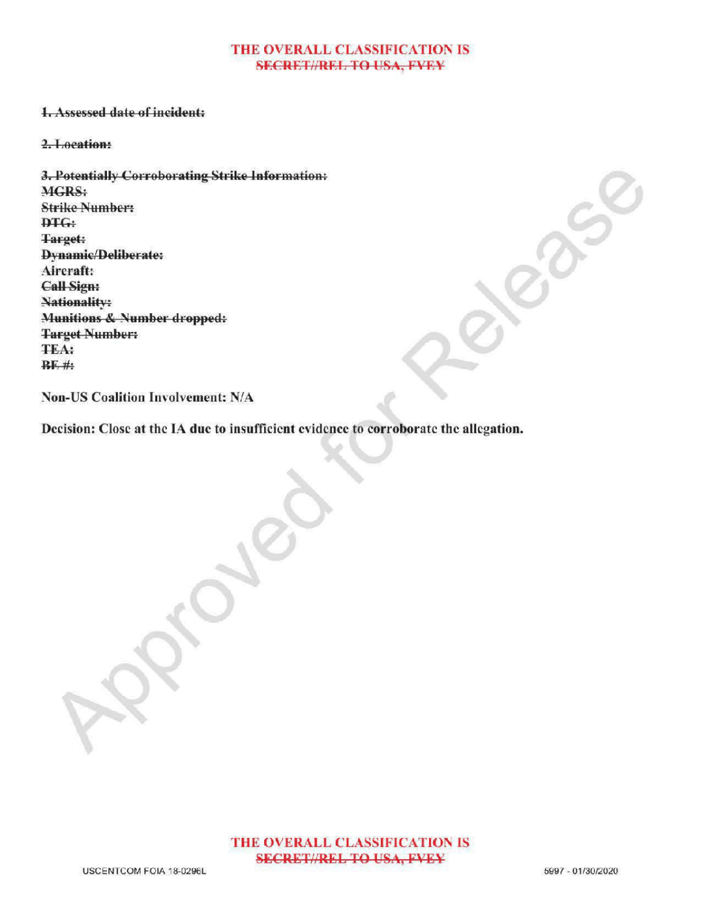#### THE OVERALL CLASSIFICATION IS **SECRET//REL TO USA, FVEY**

### 1.Assessed date of incident:

2.Location:

3. Potentially Corroborating Strike Information: MGRS: **Strike Number:**  $DTG:$ Target: Dynamic/Deliberate: Aircraft: Call Sign: Nationality: Munitions & Number dropped: Target Number: TEA:  $BF$ #

Non-US Coalition Involvement: N/A

Decision: Close at the IA due to insufficient evidence to corroborate the allegation.

 $\mathcal{S}$